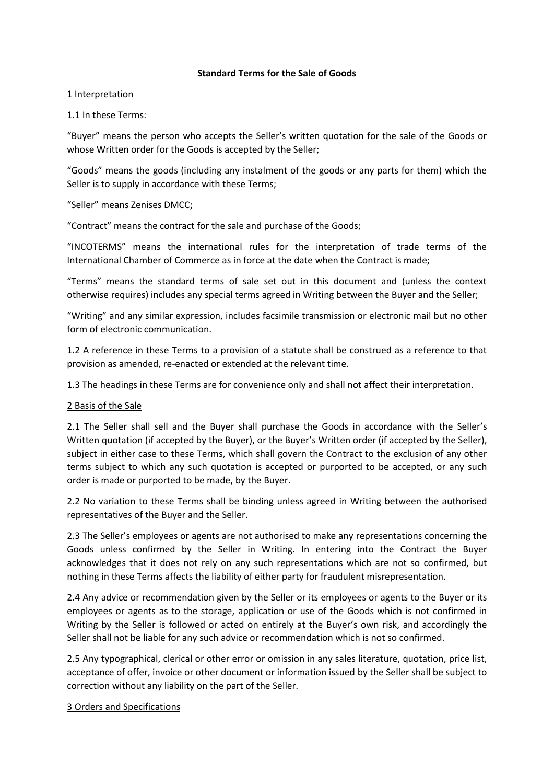### **Standard Terms for the Sale of Goods**

### 1 Interpretation

### 1.1 In these Terms:

͞Buyer͟ means the person who accepts the Seller's written quotation for the sale of the Goods or whose Written order for the Goods is accepted by the Seller;

͞Goods͟ means the goods (including any instalment of the goods or any parts for them) which the Seller is to supply in accordance with these Terms;

# ͞Seller͟ means Zenises DMCC;

͞Contract͟ means the contract for the sale and purchase of the Goods;

͞INCOTERMS͟ means the international rules for the interpretation of trade terms of the International Chamber of Commerce as in force at the date when the Contract is made;

͞Terms͟ means the standard terms of sale set out in this document and (unless the context otherwise requires) includes any special terms agreed in Writing between the Buyer and the Seller;

͞Writing͟ and any similar expression, includes facsimile transmission or electronic mail but no other form of electronic communication.

1.2 A reference in these Terms to a provision of a statute shall be construed as a reference to that provision as amended, re-enacted or extended at the relevant time.

1.3 The headings in these Terms are for convenience only and shall not affect their interpretation.

### 2 Basis of the Sale

2.1 The Seller shall sell and the Buyer shall purchase the Goods in accordance with the Seller's Written quotation (if accepted by the Buyer), or the Buyer's Written order (if accepted by the Seller), subject in either case to these Terms, which shall govern the Contract to the exclusion of any other terms subject to which any such quotation is accepted or purported to be accepted, or any such order is made or purported to be made, by the Buyer.

2.2 No variation to these Terms shall be binding unless agreed in Writing between the authorised representatives of the Buyer and the Seller.

2.3 The Seller's employees or agents are not authorised to make any representations concerning the Goods unless confirmed by the Seller in Writing. In entering into the Contract the Buyer acknowledges that it does not rely on any such representations which are not so confirmed, but nothing in these Terms affects the liability of either party for fraudulent misrepresentation.

2.4 Any advice or recommendation given by the Seller or its employees or agents to the Buyer or its employees or agents as to the storage, application or use of the Goods which is not confirmed in Writing by the Seller is followed or acted on entirely at the Buyer's own risk, and accordingly the Seller shall not be liable for any such advice or recommendation which is not so confirmed.

2.5 Any typographical, clerical or other error or omission in any sales literature, quotation, price list, acceptance of offer, invoice or other document or information issued by the Seller shall be subject to correction without any liability on the part of the Seller.

### 3 Orders and Specifications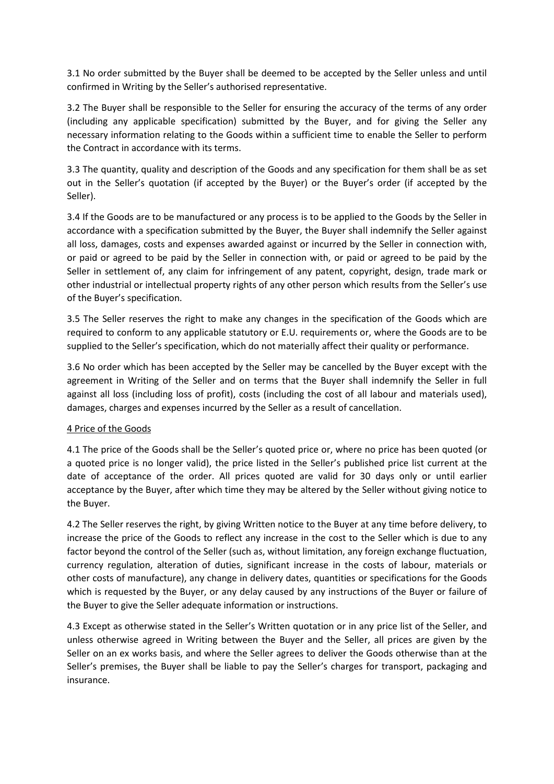3.1 No order submitted by the Buyer shall be deemed to be accepted by the Seller unless and until confirmed in Writing by the Seller's authorised representative.

3.2 The Buyer shall be responsible to the Seller for ensuring the accuracy of the terms of any order (including any applicable specification) submitted by the Buyer, and for giving the Seller any necessary information relating to the Goods within a sufficient time to enable the Seller to perform the Contract in accordance with its terms.

3.3 The quantity, quality and description of the Goods and any specification for them shall be as set out in the Seller's quotation (if accepted by the Buyer) or the Buyer's order (if accepted by the Seller).

3.4 If the Goods are to be manufactured or any process is to be applied to the Goods by the Seller in accordance with a specification submitted by the Buyer, the Buyer shall indemnify the Seller against all loss, damages, costs and expenses awarded against or incurred by the Seller in connection with, or paid or agreed to be paid by the Seller in connection with, or paid or agreed to be paid by the Seller in settlement of, any claim for infringement of any patent, copyright, design, trade mark or other industrial or intellectual property rights of any other person which results from the Seller's use of the Buyer's specification.

3.5 The Seller reserves the right to make any changes in the specification of the Goods which are required to conform to any applicable statutory or E.U. requirements or, where the Goods are to be supplied to the Seller's specification, which do not materially affect their quality or performance.

3.6 No order which has been accepted by the Seller may be cancelled by the Buyer except with the agreement in Writing of the Seller and on terms that the Buyer shall indemnify the Seller in full against all loss (including loss of profit), costs (including the cost of all labour and materials used), damages, charges and expenses incurred by the Seller as a result of cancellation.

# 4 Price of the Goods

4.1 The price of the Goods shall be the Seller's quoted price or, where no price has been quoted (or a quoted price is no longer valid), the price listed in the Seller's published price list current at the date of acceptance of the order. All prices quoted are valid for 30 days only or until earlier acceptance by the Buyer, after which time they may be altered by the Seller without giving notice to the Buyer.

4.2 The Seller reserves the right, by giving Written notice to the Buyer at any time before delivery, to increase the price of the Goods to reflect any increase in the cost to the Seller which is due to any factor beyond the control of the Seller (such as, without limitation, any foreign exchange fluctuation, currency regulation, alteration of duties, significant increase in the costs of labour, materials or other costs of manufacture), any change in delivery dates, quantities or specifications for the Goods which is requested by the Buyer, or any delay caused by any instructions of the Buyer or failure of the Buyer to give the Seller adequate information or instructions.

4.3 Except as otherwise stated in the Seller's Written quotation or in any price list of the Seller, and unless otherwise agreed in Writing between the Buyer and the Seller, all prices are given by the Seller on an ex works basis, and where the Seller agrees to deliver the Goods otherwise than at the Seller's premises, the Buyer shall be liable to pay the Seller's charges for transport, packaging and insurance.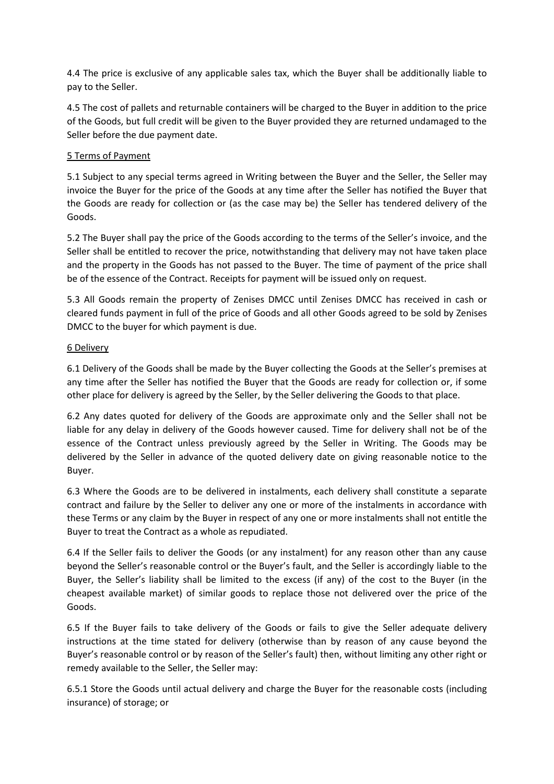4.4 The price is exclusive of any applicable sales tax, which the Buyer shall be additionally liable to pay to the Seller.

4.5 The cost of pallets and returnable containers will be charged to the Buyer in addition to the price of the Goods, but full credit will be given to the Buyer provided they are returned undamaged to the Seller before the due payment date.

# 5 Terms of Payment

5.1 Subject to any special terms agreed in Writing between the Buyer and the Seller, the Seller may invoice the Buyer for the price of the Goods at any time after the Seller has notified the Buyer that the Goods are ready for collection or (as the case may be) the Seller has tendered delivery of the Goods.

5.2 The Buyer shall pay the price of the Goods according to the terms of the Seller's invoice, and the Seller shall be entitled to recover the price, notwithstanding that delivery may not have taken place and the property in the Goods has not passed to the Buyer. The time of payment of the price shall be of the essence of the Contract. Receipts for payment will be issued only on request.

5.3 All Goods remain the property of Zenises DMCC until Zenises DMCC has received in cash or cleared funds payment in full of the price of Goods and all other Goods agreed to be sold by Zenises DMCC to the buyer for which payment is due.

### 6 Delivery

6.1 Delivery of the Goods shall be made by the Buyer collecting the Goods at the Seller's premises at any time after the Seller has notified the Buyer that the Goods are ready for collection or, if some other place for delivery is agreed by the Seller, by the Seller delivering the Goods to that place.

6.2 Any dates quoted for delivery of the Goods are approximate only and the Seller shall not be liable for any delay in delivery of the Goods however caused. Time for delivery shall not be of the essence of the Contract unless previously agreed by the Seller in Writing. The Goods may be delivered by the Seller in advance of the quoted delivery date on giving reasonable notice to the Buyer.

6.3 Where the Goods are to be delivered in instalments, each delivery shall constitute a separate contract and failure by the Seller to deliver any one or more of the instalments in accordance with these Terms or any claim by the Buyer in respect of any one or more instalments shall not entitle the Buyer to treat the Contract as a whole as repudiated.

6.4 If the Seller fails to deliver the Goods (or any instalment) for any reason other than any cause beyond the Seller's reasonable control or the Buyer's fault, and the Seller is accordingly liable to the Buyer, the Seller's liability shall be limited to the excess (if any) of the cost to the Buyer (in the cheapest available market) of similar goods to replace those not delivered over the price of the Goods.

6.5 If the Buyer fails to take delivery of the Goods or fails to give the Seller adequate delivery instructions at the time stated for delivery (otherwise than by reason of any cause beyond the Buyer's reasonable control or by reason of the Seller's fault) then, without limiting any other right or remedy available to the Seller, the Seller may:

6.5.1 Store the Goods until actual delivery and charge the Buyer for the reasonable costs (including insurance) of storage; or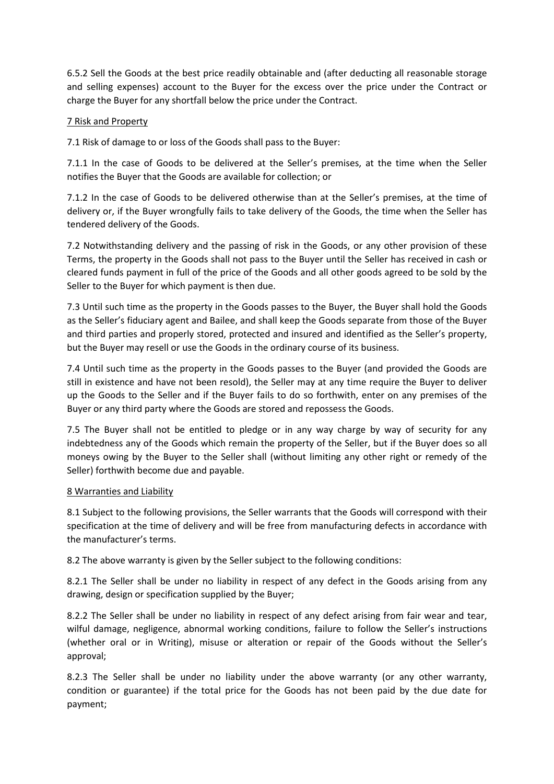6.5.2 Sell the Goods at the best price readily obtainable and (after deducting all reasonable storage and selling expenses) account to the Buyer for the excess over the price under the Contract or charge the Buyer for any shortfall below the price under the Contract.

### 7 Risk and Property

7.1 Risk of damage to or loss of the Goods shall pass to the Buyer:

7.1.1 In the case of Goods to be delivered at the Seller's premises, at the time when the Seller notifies the Buyer that the Goods are available for collection; or

7.1.2 In the case of Goods to be delivered otherwise than at the Seller's premises, at the time of delivery or, if the Buyer wrongfully fails to take delivery of the Goods, the time when the Seller has tendered delivery of the Goods.

7.2 Notwithstanding delivery and the passing of risk in the Goods, or any other provision of these Terms, the property in the Goods shall not pass to the Buyer until the Seller has received in cash or cleared funds payment in full of the price of the Goods and all other goods agreed to be sold by the Seller to the Buyer for which payment is then due.

7.3 Until such time as the property in the Goods passes to the Buyer, the Buyer shall hold the Goods as the Seller's fiduciary agent and Bailee, and shall keep the Goods separate from those of the Buyer and third parties and properly stored, protected and insured and identified as the Seller's property, but the Buyer may resell or use the Goods in the ordinary course of its business.

7.4 Until such time as the property in the Goods passes to the Buyer (and provided the Goods are still in existence and have not been resold), the Seller may at any time require the Buyer to deliver up the Goods to the Seller and if the Buyer fails to do so forthwith, enter on any premises of the Buyer or any third party where the Goods are stored and repossess the Goods.

7.5 The Buyer shall not be entitled to pledge or in any way charge by way of security for any indebtedness any of the Goods which remain the property of the Seller, but if the Buyer does so all moneys owing by the Buyer to the Seller shall (without limiting any other right or remedy of the Seller) forthwith become due and payable.

### 8 Warranties and Liability

8.1 Subject to the following provisions, the Seller warrants that the Goods will correspond with their specification at the time of delivery and will be free from manufacturing defects in accordance with the manufacturer's terms.

8.2 The above warranty is given by the Seller subject to the following conditions:

8.2.1 The Seller shall be under no liability in respect of any defect in the Goods arising from any drawing, design or specification supplied by the Buyer;

8.2.2 The Seller shall be under no liability in respect of any defect arising from fair wear and tear, wilful damage, negligence, abnormal working conditions, failure to follow the Seller's instructions (whether oral or in Writing), misuse or alteration or repair of the Goods without the Seller's approval;

8.2.3 The Seller shall be under no liability under the above warranty (or any other warranty, condition or guarantee) if the total price for the Goods has not been paid by the due date for payment;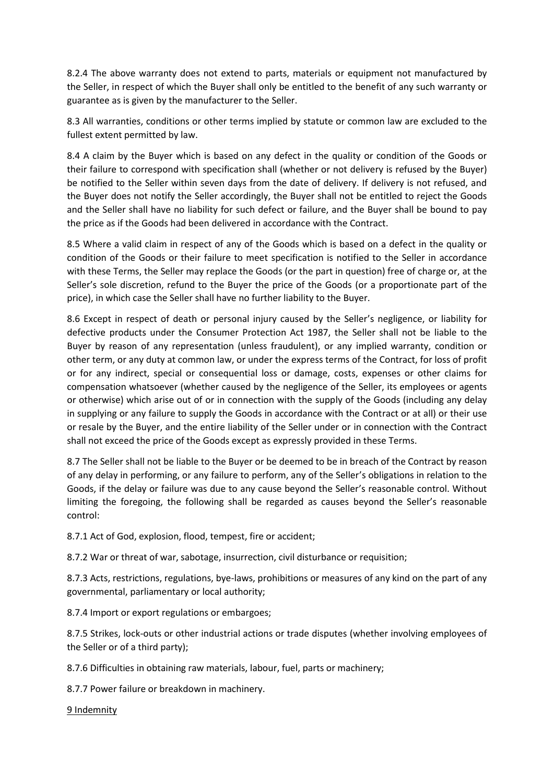8.2.4 The above warranty does not extend to parts, materials or equipment not manufactured by the Seller, in respect of which the Buyer shall only be entitled to the benefit of any such warranty or guarantee as is given by the manufacturer to the Seller.

8.3 All warranties, conditions or other terms implied by statute or common law are excluded to the fullest extent permitted by law.

8.4 A claim by the Buyer which is based on any defect in the quality or condition of the Goods or their failure to correspond with specification shall (whether or not delivery is refused by the Buyer) be notified to the Seller within seven days from the date of delivery. If delivery is not refused, and the Buyer does not notify the Seller accordingly, the Buyer shall not be entitled to reject the Goods and the Seller shall have no liability for such defect or failure, and the Buyer shall be bound to pay the price as if the Goods had been delivered in accordance with the Contract.

8.5 Where a valid claim in respect of any of the Goods which is based on a defect in the quality or condition of the Goods or their failure to meet specification is notified to the Seller in accordance with these Terms, the Seller may replace the Goods (or the part in question) free of charge or, at the Seller's sole discretion, refund to the Buyer the price of the Goods (or a proportionate part of the price), in which case the Seller shall have no further liability to the Buyer.

8.6 Except in respect of death or personal injury caused by the Seller's negligence, or liability for defective products under the Consumer Protection Act 1987, the Seller shall not be liable to the Buyer by reason of any representation (unless fraudulent), or any implied warranty, condition or other term, or any duty at common law, or under the express terms of the Contract, for loss of profit or for any indirect, special or consequential loss or damage, costs, expenses or other claims for compensation whatsoever (whether caused by the negligence of the Seller, its employees or agents or otherwise) which arise out of or in connection with the supply of the Goods (including any delay in supplying or any failure to supply the Goods in accordance with the Contract or at all) or their use or resale by the Buyer, and the entire liability of the Seller under or in connection with the Contract shall not exceed the price of the Goods except as expressly provided in these Terms.

8.7 The Seller shall not be liable to the Buyer or be deemed to be in breach of the Contract by reason of any delay in performing, or any failure to perform, any of the Seller's obligations in relation to the Goods, if the delay or failure was due to any cause beyond the Seller's reasonable control. Without limiting the foregoing, the following shall be regarded as causes beyond the Seller's reasonable control:

8.7.1 Act of God, explosion, flood, tempest, fire or accident;

8.7.2 War or threat of war, sabotage, insurrection, civil disturbance or requisition;

8.7.3 Acts, restrictions, regulations, bye-laws, prohibitions or measures of any kind on the part of any governmental, parliamentary or local authority;

8.7.4 Import or export regulations or embargoes;

8.7.5 Strikes, lock-outs or other industrial actions or trade disputes (whether involving employees of the Seller or of a third party);

8.7.6 Difficulties in obtaining raw materials, labour, fuel, parts or machinery;

8.7.7 Power failure or breakdown in machinery.

9 Indemnity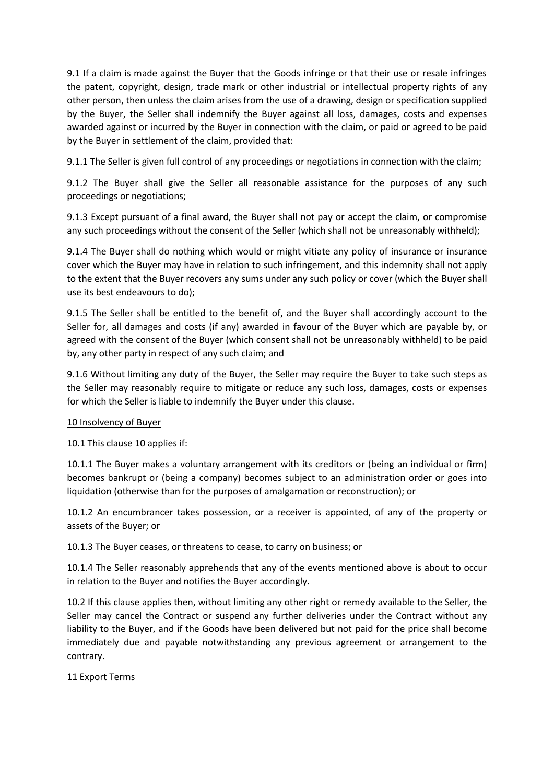9.1 If a claim is made against the Buyer that the Goods infringe or that their use or resale infringes the patent, copyright, design, trade mark or other industrial or intellectual property rights of any other person, then unless the claim arises from the use of a drawing, design or specification supplied by the Buyer, the Seller shall indemnify the Buyer against all loss, damages, costs and expenses awarded against or incurred by the Buyer in connection with the claim, or paid or agreed to be paid by the Buyer in settlement of the claim, provided that:

9.1.1 The Seller is given full control of any proceedings or negotiations in connection with the claim;

9.1.2 The Buyer shall give the Seller all reasonable assistance for the purposes of any such proceedings or negotiations;

9.1.3 Except pursuant of a final award, the Buyer shall not pay or accept the claim, or compromise any such proceedings without the consent of the Seller (which shall not be unreasonably withheld);

9.1.4 The Buyer shall do nothing which would or might vitiate any policy of insurance or insurance cover which the Buyer may have in relation to such infringement, and this indemnity shall not apply to the extent that the Buyer recovers any sums under any such policy or cover (which the Buyer shall use its best endeavours to do);

9.1.5 The Seller shall be entitled to the benefit of, and the Buyer shall accordingly account to the Seller for, all damages and costs (if any) awarded in favour of the Buyer which are payable by, or agreed with the consent of the Buyer (which consent shall not be unreasonably withheld) to be paid by, any other party in respect of any such claim; and

9.1.6 Without limiting any duty of the Buyer, the Seller may require the Buyer to take such steps as the Seller may reasonably require to mitigate or reduce any such loss, damages, costs or expenses for which the Seller is liable to indemnify the Buyer under this clause.

### 10 Insolvency of Buyer

10.1 This clause 10 applies if:

10.1.1 The Buyer makes a voluntary arrangement with its creditors or (being an individual or firm) becomes bankrupt or (being a company) becomes subject to an administration order or goes into liquidation (otherwise than for the purposes of amalgamation or reconstruction); or

10.1.2 An encumbrancer takes possession, or a receiver is appointed, of any of the property or assets of the Buyer; or

10.1.3 The Buyer ceases, or threatens to cease, to carry on business; or

10.1.4 The Seller reasonably apprehends that any of the events mentioned above is about to occur in relation to the Buyer and notifies the Buyer accordingly.

10.2 If this clause applies then, without limiting any other right or remedy available to the Seller, the Seller may cancel the Contract or suspend any further deliveries under the Contract without any liability to the Buyer, and if the Goods have been delivered but not paid for the price shall become immediately due and payable notwithstanding any previous agreement or arrangement to the contrary.

# 11 Export Terms